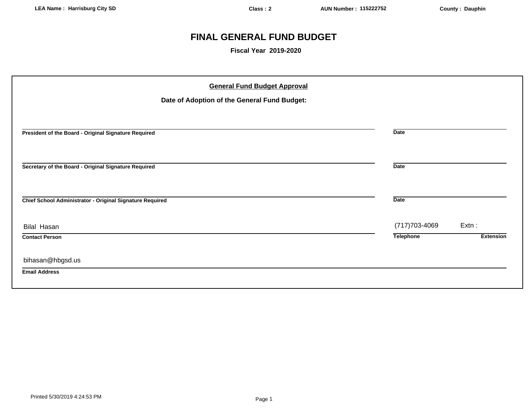# **FINAL GENERAL FUND BUDGET**

**Fiscal Year 2019-2020**

| <b>General Fund Budget Approval</b>                      |                  |                  |
|----------------------------------------------------------|------------------|------------------|
| Date of Adoption of the General Fund Budget:             |                  |                  |
|                                                          |                  |                  |
| President of the Board - Original Signature Required     | <b>Date</b>      |                  |
|                                                          |                  |                  |
| Secretary of the Board - Original Signature Required     | <b>Date</b>      |                  |
|                                                          |                  |                  |
| Chief School Administrator - Original Signature Required | <b>Date</b>      |                  |
| <b>Bilal Hasan</b>                                       | (717) 703-4069   | Extn:            |
| <b>Contact Person</b>                                    | <b>Telephone</b> | <b>Extension</b> |
| bihasan@hbgsd.us                                         |                  |                  |
| <b>Email Address</b>                                     |                  |                  |
|                                                          |                  |                  |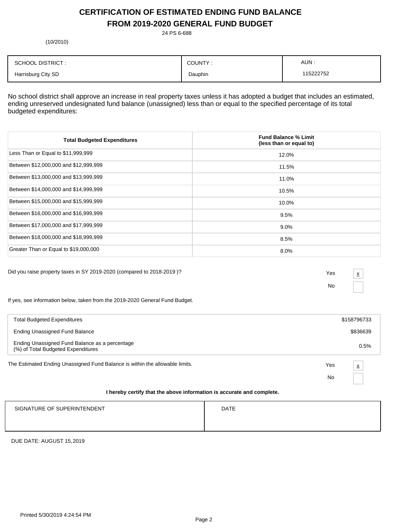# **CERTIFICATION OF ESTIMATED ENDING FUND BALANCE FROM 2019-2020 GENERAL FUND BUDGET**

24 PS 6-688

(10/2010)

| <b>SCHOOL DISTRICT:</b> | COUNTY: | AUN.     |
|-------------------------|---------|----------|
| Harrisburg City SD      | Dauphin | 15222752 |

No school district shall approve an increase in real property taxes unless it has adopted a budget that includes an estimated, ending unreserved undesignated fund balance (unassigned) less than or equal to the specified percentage of its total budgeted expenditures:

| <b>Total Budgeted Expenditures</b>    | <b>Fund Balance % Limit</b><br>(less than or equal to) |
|---------------------------------------|--------------------------------------------------------|
| Less Than or Equal to \$11,999,999    | 12.0%                                                  |
| Between \$12,000,000 and \$12,999,999 | 11.5%                                                  |
| Between \$13,000,000 and \$13,999,999 | 11.0%                                                  |
| Between \$14,000,000 and \$14,999,999 | 10.5%                                                  |
| Between \$15,000,000 and \$15,999,999 | 10.0%                                                  |
| Between \$16,000,000 and \$16,999,999 | 9.5%                                                   |
| Between \$17,000,000 and \$17,999,999 | $9.0\%$                                                |
| Between \$18,000,000 and \$18,999,999 | 8.5%                                                   |
| Greater Than or Equal to \$19,000,000 | $8.0\%$                                                |

Did you raise property taxes in SY 2019-2020 (compared to 2018-2019 )? Yes

No

x

If yes, see information below, taken from the 2019-2020 General Fund Budget.

| <b>Total Budgeted Expenditures</b>                                                   |     | \$158796733             |
|--------------------------------------------------------------------------------------|-----|-------------------------|
| <b>Ending Unassigned Fund Balance</b>                                                |     | \$836639                |
| Ending Unassigned Fund Balance as a percentage<br>(%) of Total Budgeted Expenditures |     | 0.5%                    |
| The Estimated Ending Unassigned Fund Balance is within the allowable limits.         | Yes | $\overline{\mathbf{x}}$ |
|                                                                                      | No  |                         |
| I hereby certify that the above information is accurate and complete.                |     |                         |

| SIGNATURE OF SUPERINTENDENT | <b>DATE</b> |
|-----------------------------|-------------|
|                             |             |

DUE DATE: AUGUST 15,2019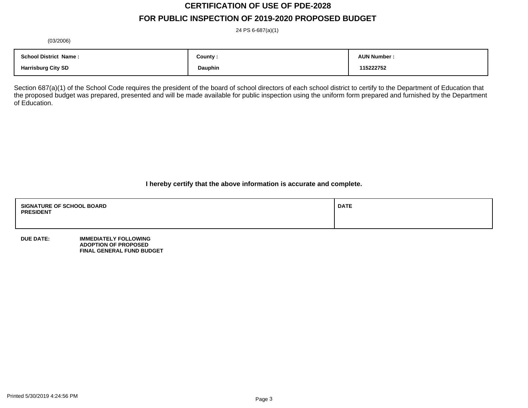# **CERTIFICATION OF USE OF PDE-2028**

# **FOR PUBLIC INSPECTION OF 2019-2020 PROPOSED BUDGET**

24 PS 6-687(a)(1)

(03/2006)

| <b>School District Name:</b> | County : | <b>AUN Number:</b> |
|------------------------------|----------|--------------------|
| <b>Harrisburg City SD</b>    | Dauphin  | 115222752          |

Section 687(a)(1) of the School Code requires the president of the board of school directors of each school district to certify to the Department of Education that the proposed budget was prepared, presented and will be made available for public inspection using the uniform form prepared and furnished by the Department of Education.

**I hereby certify that the above information is accurate and complete.**

| <b>SIGNATURE OF SCHOOL BOARD</b><br><b>PRESIDENT</b> | <b>DATE</b> |
|------------------------------------------------------|-------------|
|                                                      |             |

**DUE DATE: IMMEDIATELY FOLLOWING ADOPTION OF PROPOSED FINAL GENERAL FUND BUDGET**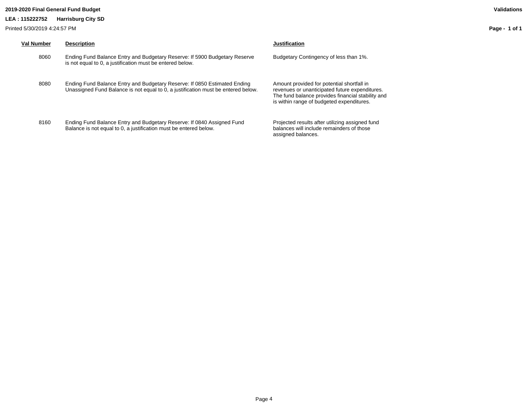# **2019-2020 Final General Fund Budget Validations**

**LEA : 115222752 Harrisburg City SD**

Printed 5/30/2019 4:24:57 PM

| <b>Val Number</b> | <b>Description</b>                                                                                                                                             | <b>Justification</b>                                                                                                                                                                           |
|-------------------|----------------------------------------------------------------------------------------------------------------------------------------------------------------|------------------------------------------------------------------------------------------------------------------------------------------------------------------------------------------------|
| 8060              | Ending Fund Balance Entry and Budgetary Reserve: If 5900 Budgetary Reserve<br>is not equal to 0, a justification must be entered below.                        | Budgetary Contingency of less than 1%.                                                                                                                                                         |
| 8080              | Ending Fund Balance Entry and Budgetary Reserve: If 0850 Estimated Ending<br>Unassigned Fund Balance is not equal to 0, a justification must be entered below. | Amount provided for potential shortfall in<br>revenues or unanticipated future expenditures.<br>The fund balance provides financial stability and<br>is within range of budgeted expenditures. |
| 8160              | Ending Fund Balance Entry and Budgetary Reserve: If 0840 Assigned Fund<br>Balance is not equal to 0, a justification must be entered below.                    | Projected results after utilizing assigned fund<br>balances will include remainders of those<br>assigned balances.                                                                             |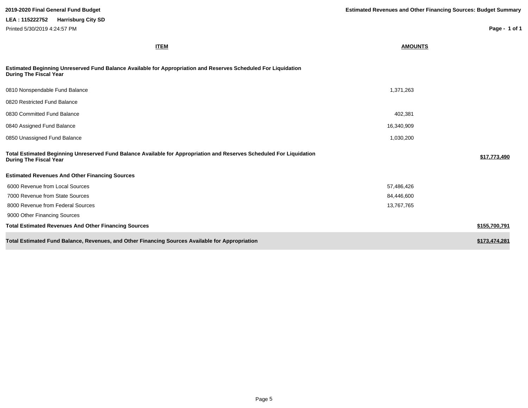| <b>ITEM</b>                                                                                                                                           | <b>AMOUNTS</b> |               |
|-------------------------------------------------------------------------------------------------------------------------------------------------------|----------------|---------------|
| Estimated Beginning Unreserved Fund Balance Available for Appropriation and Reserves Scheduled For Liquidation<br><b>During The Fiscal Year</b>       |                |               |
| 0810 Nonspendable Fund Balance                                                                                                                        | 1,371,263      |               |
| 0820 Restricted Fund Balance                                                                                                                          |                |               |
| 0830 Committed Fund Balance                                                                                                                           | 402,381        |               |
| 0840 Assigned Fund Balance                                                                                                                            | 16,340,909     |               |
| 0850 Unassigned Fund Balance                                                                                                                          | 1,030,200      |               |
| Total Estimated Beginning Unreserved Fund Balance Available for Appropriation and Reserves Scheduled For Liquidation<br><b>During The Fiscal Year</b> |                | \$17,773,490  |
| <b>Estimated Revenues And Other Financing Sources</b>                                                                                                 |                |               |
| 6000 Revenue from Local Sources                                                                                                                       | 57,486,426     |               |
| 7000 Revenue from State Sources                                                                                                                       | 84,446,600     |               |
| 8000 Revenue from Federal Sources                                                                                                                     | 13,767,765     |               |
| 9000 Other Financing Sources                                                                                                                          |                |               |
| <b>Total Estimated Revenues And Other Financing Sources</b>                                                                                           |                | \$155,700,791 |
| Total Estimated Fund Balance, Revenues, and Other Financing Sources Available for Appropriation                                                       |                | \$173,474,281 |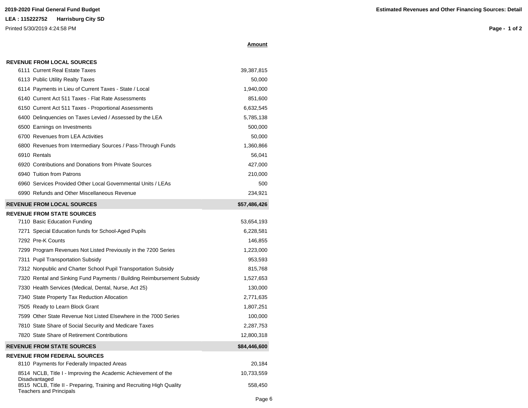# Printed 5/30/2019 4:24:58 PM

**Page - 1 of 2**

|  |  |  | <b>REVENUE FROM LOCAL SOURCES</b> |  |
|--|--|--|-----------------------------------|--|
|  |  |  |                                   |  |

| 6111 Current Real Estate Taxes                                                                          | 39,387,815   |
|---------------------------------------------------------------------------------------------------------|--------------|
| 6113 Public Utility Realty Taxes                                                                        | 50,000       |
| 6114 Payments in Lieu of Current Taxes - State / Local                                                  | 1,940,000    |
| 6140 Current Act 511 Taxes - Flat Rate Assessments                                                      | 851,600      |
| 6150 Current Act 511 Taxes - Proportional Assessments                                                   | 6,632,545    |
| 6400 Delinquencies on Taxes Levied / Assessed by the LEA                                                | 5,785,138    |
| 6500 Earnings on Investments                                                                            | 500,000      |
| 6700 Revenues from LEA Activities                                                                       | 50,000       |
| 6800 Revenues from Intermediary Sources / Pass-Through Funds                                            | 1,360,866    |
| 6910 Rentals                                                                                            | 56,041       |
| 6920 Contributions and Donations from Private Sources                                                   | 427,000      |
| 6940 Tuition from Patrons                                                                               | 210,000      |
| 6960 Services Provided Other Local Governmental Units / LEAs                                            | 500          |
| 6990 Refunds and Other Miscellaneous Revenue                                                            | 234,921      |
| <b>REVENUE FROM LOCAL SOURCES</b>                                                                       | \$57,486,426 |
| <b>REVENUE FROM STATE SOURCES</b>                                                                       |              |
| 7110 Basic Education Funding                                                                            | 53,654,193   |
| 7271 Special Education funds for School-Aged Pupils                                                     | 6,228,581    |
| 7292 Pre-K Counts                                                                                       | 146,855      |
| 7299 Program Revenues Not Listed Previously in the 7200 Series                                          | 1,223,000    |
| 7311 Pupil Transportation Subsidy                                                                       | 953,593      |
| 7312 Nonpublic and Charter School Pupil Transportation Subsidy                                          | 815,768      |
| 7320 Rental and Sinking Fund Payments / Building Reimbursement Subsidy                                  | 1,527,653    |
| 7330 Health Services (Medical, Dental, Nurse, Act 25)                                                   | 130,000      |
| 7340 State Property Tax Reduction Allocation                                                            | 2,771,635    |
| 7505 Ready to Learn Block Grant                                                                         | 1,807,251    |
| 7599 Other State Revenue Not Listed Elsewhere in the 7000 Series                                        | 100,000      |
| 7810 State Share of Social Security and Medicare Taxes                                                  | 2,287,753    |
| 7820 State Share of Retirement Contributions                                                            | 12,800,318   |
| <b>REVENUE FROM STATE SOURCES</b>                                                                       | \$84,446,600 |
| <b>REVENUE FROM FEDERAL SOURCES</b>                                                                     |              |
| 8110 Payments for Federally Impacted Areas                                                              | 20,184       |
| 8514 NCLB, Title I - Improving the Academic Achievement of the<br>Disadvantaged                         | 10,733,559   |
| 8515 NCLB, Title II - Preparing, Training and Recruiting High Quality<br><b>Teachers and Principals</b> | 558,450      |

**Amount**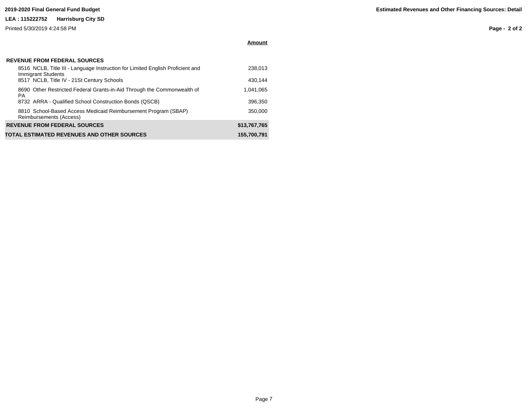# **LEA : 115222752 Harrisburg City SD**

Printed 5/30/2019 4:24:58 PM

**Amount**

| <b>REVENUE FROM FEDERAL SOURCES</b> |  |
|-------------------------------------|--|
|-------------------------------------|--|

| 8516 NCLB, Title III - Language Instruction for Limited English Proficient and<br><b>Immigrant Students</b> | 238,013      |
|-------------------------------------------------------------------------------------------------------------|--------------|
| 8517 NCLB, Title IV - 21St Century Schools                                                                  | 430.144      |
| 8690 Other Restricted Federal Grants-in-Aid Through the Commonwealth of<br><b>PA</b>                        | 1,041,065    |
| 8732 ARRA - Qualified School Construction Bonds (QSCB)                                                      | 396,350      |
| 8810 School-Based Access Medicaid Reimbursement Program (SBAP)<br>Reimbursements (Access)                   | 350.000      |
| <b>REVENUE FROM FEDERAL SOURCES</b>                                                                         | \$13,767,765 |
| TOTAL ESTIMATED REVENUES AND OTHER SOURCES                                                                  | 155,700,791  |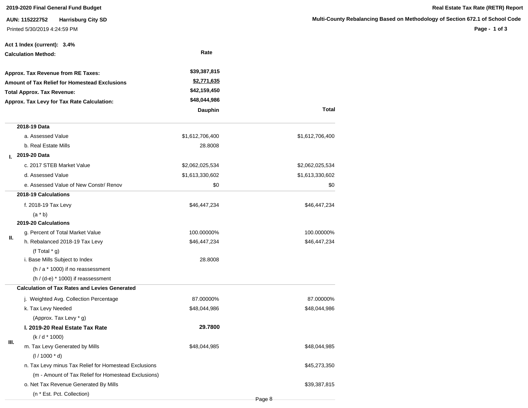**AUN: 115222752 Harrisburg City SD** Printed 5/30/2019 4:24:59 PM

|    | Act 1 Index (current): 3.4%                           |                    |                 |
|----|-------------------------------------------------------|--------------------|-----------------|
|    | <b>Calculation Method:</b>                            | Rate               |                 |
|    | Approx. Tax Revenue from RE Taxes:                    | \$39,387,815       |                 |
|    | <b>Amount of Tax Relief for Homestead Exclusions</b>  | <u>\$2,771,635</u> |                 |
|    | <b>Total Approx. Tax Revenue:</b>                     | \$42,159,450       |                 |
|    | Approx. Tax Levy for Tax Rate Calculation:            | \$48,044,986       |                 |
|    |                                                       | Dauphin            | <b>Total</b>    |
|    | 2018-19 Data                                          |                    |                 |
|    | a. Assessed Value                                     | \$1,612,706,400    | \$1,612,706,400 |
|    | b. Real Estate Mills                                  | 28.8008            |                 |
| L. | 2019-20 Data                                          |                    |                 |
|    | c. 2017 STEB Market Value                             | \$2,062,025,534    | \$2,062,025,534 |
|    | d. Assessed Value                                     | \$1,613,330,602    | \$1,613,330,602 |
|    | e. Assessed Value of New Constr/ Renov                | \$0                | \$0             |
|    | 2018-19 Calculations                                  |                    |                 |
|    | f. 2018-19 Tax Levy                                   | \$46,447,234       | \$46,447,234    |
|    | $(a * b)$                                             |                    |                 |
|    | 2019-20 Calculations                                  |                    |                 |
| Ш. | g. Percent of Total Market Value                      | 100.00000%         | 100.00000%      |
|    | h. Rebalanced 2018-19 Tax Levy                        | \$46,447,234       | \$46,447,234    |
|    | (f Total $*$ g)                                       |                    |                 |
|    | i. Base Mills Subject to Index                        | 28.8008            |                 |
|    | $(h / a * 1000)$ if no reassessment                   |                    |                 |
|    | $(h / (d-e) * 1000)$ if reassessment                  |                    |                 |
|    | <b>Calculation of Tax Rates and Levies Generated</b>  |                    |                 |
|    | j. Weighted Avg. Collection Percentage                | 87.00000%          | 87.00000%       |
|    | k. Tax Levy Needed                                    | \$48,044,986       | \$48,044,986    |
|    | (Approx. Tax Levy * g)                                |                    |                 |
|    | I. 2019-20 Real Estate Tax Rate                       | 29.7800            |                 |
| Ш. | $(k/d * 1000)$                                        |                    |                 |
|    | m. Tax Levy Generated by Mills                        | \$48,044,985       | \$48,044,985    |
|    | $(1/1000 * d)$                                        |                    |                 |
|    | n. Tax Levy minus Tax Relief for Homestead Exclusions |                    | \$45,273,350    |
|    | (m - Amount of Tax Relief for Homestead Exclusions)   |                    |                 |
|    | o. Net Tax Revenue Generated By Mills                 |                    | \$39,387,815    |
|    | (n * Est. Pct. Collection)                            |                    |                 |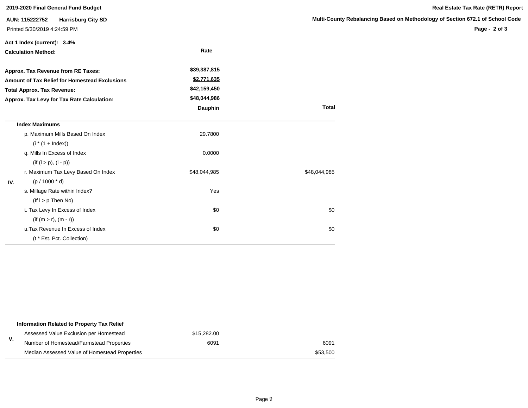| 2019-2020 Final General Fund Budget |                                                                             |              |                       |  |  |  |
|-------------------------------------|-----------------------------------------------------------------------------|--------------|-----------------------|--|--|--|
|                                     | AUN: 115222752<br><b>Harrisburg City SD</b><br>Printed 5/30/2019 4:24:59 PM |              | <b>Multi-County I</b> |  |  |  |
|                                     | Act 1 Index (current): 3.4%                                                 |              |                       |  |  |  |
|                                     | <b>Calculation Method:</b>                                                  | Rate         |                       |  |  |  |
|                                     | Approx. Tax Revenue from RE Taxes:                                          | \$39,387,815 |                       |  |  |  |
|                                     | Amount of Tax Relief for Homestead Exclusions                               | \$2,771,635  |                       |  |  |  |
|                                     | <b>Total Approx. Tax Revenue:</b>                                           | \$42,159,450 |                       |  |  |  |
|                                     | Approx. Tax Levy for Tax Rate Calculation:                                  | \$48,044,986 |                       |  |  |  |
|                                     |                                                                             | Dauphin      | <b>Total</b>          |  |  |  |
|                                     | <b>Index Maximums</b>                                                       |              |                       |  |  |  |
|                                     | p. Maximum Mills Based On Index                                             | 29.7800      |                       |  |  |  |
|                                     | $(i * (1 + Index))$                                                         |              |                       |  |  |  |
|                                     | q. Mills In Excess of Index                                                 | 0.0000       |                       |  |  |  |
|                                     | $(if (l > p), (l - p))$                                                     |              |                       |  |  |  |
|                                     | r. Maximum Tax Levy Based On Index                                          | \$48,044,985 | \$48,044,985          |  |  |  |
| IV.                                 | $(p / 1000 * d)$                                                            |              |                       |  |  |  |
|                                     | s. Millage Rate within Index?                                               | Yes          |                       |  |  |  |
|                                     | $($ lf $ $ > $p$ Then No)                                                   |              |                       |  |  |  |
|                                     | t. Tax Levy In Excess of Index                                              | \$0          | \$0                   |  |  |  |
|                                     | $(if (m > r), (m - r))$                                                     |              |                       |  |  |  |
|                                     | u. Tax Revenue In Excess of Index                                           | \$0          | \$0                   |  |  |  |
|                                     | (t * Est. Pct. Collection)                                                  |              |                       |  |  |  |

|    | Information Related to Property Tax Relief    |             |          |
|----|-----------------------------------------------|-------------|----------|
|    | Assessed Value Exclusion per Homestead        | \$15,282,00 |          |
| v. | Number of Homestead/Farmstead Properties      | 6091        | 6091     |
|    | Median Assessed Value of Homestead Properties |             | \$53,500 |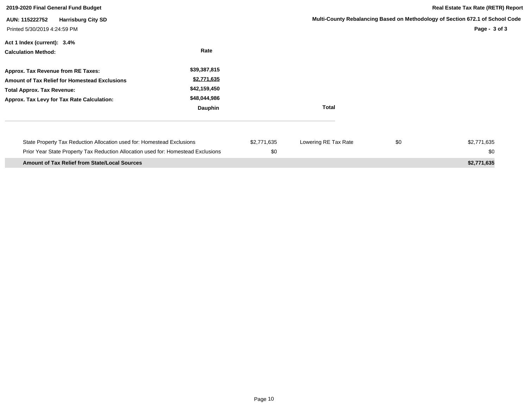| 2019-2020 Final General Fund Budget                                                                                                                                           |                                                                        |                    |                      |     | <b>Real Estate Tax Rate (RETR) Report</b>                                                      |
|-------------------------------------------------------------------------------------------------------------------------------------------------------------------------------|------------------------------------------------------------------------|--------------------|----------------------|-----|------------------------------------------------------------------------------------------------|
| <b>Harrisburg City SD</b><br>AUN: 115222752<br>Printed 5/30/2019 4:24:59 PM                                                                                                   |                                                                        |                    |                      |     | Multi-County Rebalancing Based on Methodology of Section 672.1 of School Code<br>Page - 3 of 3 |
| Act 1 Index (current): 3.4%<br><b>Calculation Method:</b>                                                                                                                     | Rate                                                                   |                    |                      |     |                                                                                                |
| Approx. Tax Revenue from RE Taxes:<br><b>Amount of Tax Relief for Homestead Exclusions</b><br><b>Total Approx. Tax Revenue:</b><br>Approx. Tax Levy for Tax Rate Calculation: | \$39,387,815<br>\$2,771,635<br>\$42,159,450<br>\$48,044,986<br>Dauphin |                    | <b>Total</b>         |     |                                                                                                |
| State Property Tax Reduction Allocation used for: Homestead Exclusions<br>Prior Year State Property Tax Reduction Allocation used for: Homestead Exclusions                   |                                                                        | \$2,771,635<br>\$0 | Lowering RE Tax Rate | \$0 | \$2,771,635<br>\$0                                                                             |
| <b>Amount of Tax Relief from State/Local Sources</b>                                                                                                                          |                                                                        |                    |                      |     | \$2,771,635                                                                                    |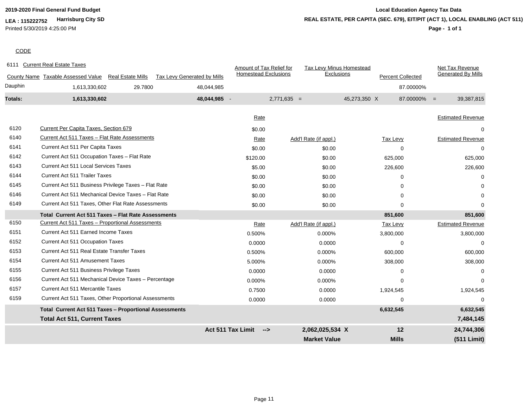**LEA : 115222752 Harrisburg City SD** Printed 5/30/2019 4:25:00 PM

# **2019-2020 Final General Fund Budget Local Education Agency Tax Data REAL ESTATE, PER CAPITA (SEC. 679), EIT/PIT (ACT 1), LOCAL ENABLING (ACT 511)**

# **Page - 1 of 1**

# **CODE**

| <b>Homestead Exclusions</b><br>Exclusions<br><b>Generated By Mills</b><br><b>Percent Collected</b><br>County Name Taxable Assessed Value<br><b>Real Estate Mills</b><br>Tax Levy Generated by Mills<br>Dauphin<br>29.7800<br>1,613,330,602<br>48,044,985<br>87.00000%<br>Totals:<br>48,044,985 -<br>$2,771,635 =$<br>45,273,350 X<br>1,613,330,602<br>$87.00000\% =$<br>39,387,815<br><b>Estimated Revenue</b><br>Rate<br>6120<br><b>Current Per Capita Taxes, Section 679</b><br>\$0.00<br>6140<br>Current Act 511 Taxes - Flat Rate Assessments<br>Add'l Rate (if appl.)<br><b>Tax Levy</b><br><b>Estimated Revenue</b><br>Rate<br>6141<br>Current Act 511 Per Capita Taxes<br>\$0.00<br>\$0.00<br>$\Omega$<br>6142<br>Current Act 511 Occupation Taxes - Flat Rate<br>\$120.00<br>\$0.00<br>625,000<br><b>Current Act 511 Local Services Taxes</b><br>6143<br>\$5.00<br>\$0.00<br>226,600<br>6144<br><b>Current Act 511 Trailer Taxes</b><br>\$0.00<br>\$0.00<br>$\Omega$<br>6145<br>Current Act 511 Business Privilege Taxes - Flat Rate<br>\$0.00<br>\$0.00<br>0 |          |
|-----------------------------------------------------------------------------------------------------------------------------------------------------------------------------------------------------------------------------------------------------------------------------------------------------------------------------------------------------------------------------------------------------------------------------------------------------------------------------------------------------------------------------------------------------------------------------------------------------------------------------------------------------------------------------------------------------------------------------------------------------------------------------------------------------------------------------------------------------------------------------------------------------------------------------------------------------------------------------------------------------------------------------------------------------------------------|----------|
|                                                                                                                                                                                                                                                                                                                                                                                                                                                                                                                                                                                                                                                                                                                                                                                                                                                                                                                                                                                                                                                                       |          |
|                                                                                                                                                                                                                                                                                                                                                                                                                                                                                                                                                                                                                                                                                                                                                                                                                                                                                                                                                                                                                                                                       |          |
|                                                                                                                                                                                                                                                                                                                                                                                                                                                                                                                                                                                                                                                                                                                                                                                                                                                                                                                                                                                                                                                                       |          |
|                                                                                                                                                                                                                                                                                                                                                                                                                                                                                                                                                                                                                                                                                                                                                                                                                                                                                                                                                                                                                                                                       |          |
|                                                                                                                                                                                                                                                                                                                                                                                                                                                                                                                                                                                                                                                                                                                                                                                                                                                                                                                                                                                                                                                                       |          |
|                                                                                                                                                                                                                                                                                                                                                                                                                                                                                                                                                                                                                                                                                                                                                                                                                                                                                                                                                                                                                                                                       |          |
|                                                                                                                                                                                                                                                                                                                                                                                                                                                                                                                                                                                                                                                                                                                                                                                                                                                                                                                                                                                                                                                                       |          |
|                                                                                                                                                                                                                                                                                                                                                                                                                                                                                                                                                                                                                                                                                                                                                                                                                                                                                                                                                                                                                                                                       |          |
|                                                                                                                                                                                                                                                                                                                                                                                                                                                                                                                                                                                                                                                                                                                                                                                                                                                                                                                                                                                                                                                                       | 625,000  |
|                                                                                                                                                                                                                                                                                                                                                                                                                                                                                                                                                                                                                                                                                                                                                                                                                                                                                                                                                                                                                                                                       | 226,600  |
|                                                                                                                                                                                                                                                                                                                                                                                                                                                                                                                                                                                                                                                                                                                                                                                                                                                                                                                                                                                                                                                                       | $\Omega$ |
|                                                                                                                                                                                                                                                                                                                                                                                                                                                                                                                                                                                                                                                                                                                                                                                                                                                                                                                                                                                                                                                                       |          |
| Current Act 511 Mechanical Device Taxes - Flat Rate<br>6146<br>\$0.00<br>\$0.00<br>∩                                                                                                                                                                                                                                                                                                                                                                                                                                                                                                                                                                                                                                                                                                                                                                                                                                                                                                                                                                                  |          |
| Current Act 511 Taxes, Other Flat Rate Assessments<br>6149<br>\$0.00<br>\$0.00<br>$\Omega$                                                                                                                                                                                                                                                                                                                                                                                                                                                                                                                                                                                                                                                                                                                                                                                                                                                                                                                                                                            | $\Omega$ |
| Total Current Act 511 Taxes - Flat Rate Assessments<br>851,600                                                                                                                                                                                                                                                                                                                                                                                                                                                                                                                                                                                                                                                                                                                                                                                                                                                                                                                                                                                                        | 851,600  |
| Current Act 511 Taxes - Proportional Assessments<br>6150<br><b>Estimated Revenue</b><br>Add'l Rate (if appl.)<br><b>Tax Levy</b><br>Rate                                                                                                                                                                                                                                                                                                                                                                                                                                                                                                                                                                                                                                                                                                                                                                                                                                                                                                                              |          |
| 6151<br><b>Current Act 511 Earned Income Taxes</b><br>3,800,000<br>3,800,000<br>0.500%<br>0.000%                                                                                                                                                                                                                                                                                                                                                                                                                                                                                                                                                                                                                                                                                                                                                                                                                                                                                                                                                                      |          |
| 6152<br><b>Current Act 511 Occupation Taxes</b><br>0.0000<br>0.0000<br>$\Omega$                                                                                                                                                                                                                                                                                                                                                                                                                                                                                                                                                                                                                                                                                                                                                                                                                                                                                                                                                                                       | $\Omega$ |
| Current Act 511 Real Estate Transfer Taxes<br>6153<br>0.000%<br>0.500%<br>600,000                                                                                                                                                                                                                                                                                                                                                                                                                                                                                                                                                                                                                                                                                                                                                                                                                                                                                                                                                                                     | 600,000  |
| 6154<br><b>Current Act 511 Amusement Taxes</b><br>5.000%<br>0.000%<br>308,000                                                                                                                                                                                                                                                                                                                                                                                                                                                                                                                                                                                                                                                                                                                                                                                                                                                                                                                                                                                         | 308,000  |
| 6155<br>Current Act 511 Business Privilege Taxes<br>0.0000<br>0.0000<br>0                                                                                                                                                                                                                                                                                                                                                                                                                                                                                                                                                                                                                                                                                                                                                                                                                                                                                                                                                                                             | $\Omega$ |
| 6156<br>Current Act 511 Mechanical Device Taxes - Percentage<br>0.000%<br>0.000%<br>$\Omega$                                                                                                                                                                                                                                                                                                                                                                                                                                                                                                                                                                                                                                                                                                                                                                                                                                                                                                                                                                          | $\Omega$ |
| <b>Current Act 511 Mercantile Taxes</b><br>6157<br>0.7500<br>0.0000<br>1,924,545<br>1,924,545                                                                                                                                                                                                                                                                                                                                                                                                                                                                                                                                                                                                                                                                                                                                                                                                                                                                                                                                                                         |          |
| 6159<br>Current Act 511 Taxes, Other Proportional Assessments<br>0.0000<br>0.0000<br>$\Omega$                                                                                                                                                                                                                                                                                                                                                                                                                                                                                                                                                                                                                                                                                                                                                                                                                                                                                                                                                                         |          |
| 6,632,545<br>Total Current Act 511 Taxes - Proportional Assessments<br>6,632,545                                                                                                                                                                                                                                                                                                                                                                                                                                                                                                                                                                                                                                                                                                                                                                                                                                                                                                                                                                                      |          |
| <b>Total Act 511, Current Taxes</b><br>7,484,145                                                                                                                                                                                                                                                                                                                                                                                                                                                                                                                                                                                                                                                                                                                                                                                                                                                                                                                                                                                                                      |          |
| <b>Act 511 Tax Limit</b><br>2,062,025,534 X<br>12<br>24,744,306<br>$\rightarrow$                                                                                                                                                                                                                                                                                                                                                                                                                                                                                                                                                                                                                                                                                                                                                                                                                                                                                                                                                                                      |          |
| <b>Market Value</b><br><b>Mills</b><br>(511 Limit)                                                                                                                                                                                                                                                                                                                                                                                                                                                                                                                                                                                                                                                                                                                                                                                                                                                                                                                                                                                                                    |          |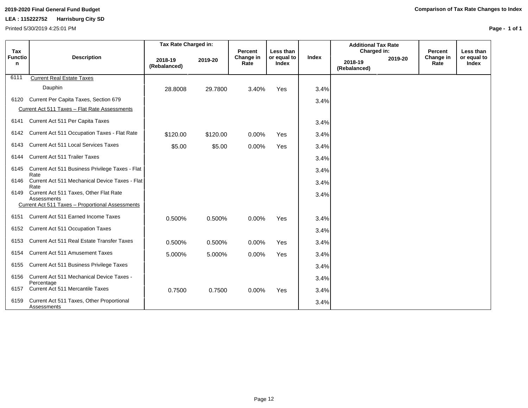# **LEA : 115222752 Harrisburg City SD**

Printed 5/30/2019 4:25:01 PM

| Tax                 |                                                                                                           | Tax Rate Charged in:    |          | Percent           | Less than                   |              | <b>Additional Tax Rate</b><br>Charged in: |         | Percent           | Less than            |
|---------------------|-----------------------------------------------------------------------------------------------------------|-------------------------|----------|-------------------|-----------------------------|--------------|-------------------------------------------|---------|-------------------|----------------------|
| <b>Functio</b><br>n | <b>Description</b>                                                                                        | 2018-19<br>(Rebalanced) | 2019-20  | Change in<br>Rate | or equal to<br><b>Index</b> | <b>Index</b> | 2018-19<br>(Rebalanced)                   | 2019-20 | Change in<br>Rate | or equal to<br>Index |
| 6111                | <b>Current Real Estate Taxes</b>                                                                          |                         |          |                   |                             |              |                                           |         |                   |                      |
|                     | Dauphin                                                                                                   | 28.8008                 | 29.7800  | 3.40%             | Yes                         | 3.4%         |                                           |         |                   |                      |
| 6120                | Current Per Capita Taxes, Section 679                                                                     |                         |          |                   |                             | 3.4%         |                                           |         |                   |                      |
|                     | Current Act 511 Taxes - Flat Rate Assessments                                                             |                         |          |                   |                             |              |                                           |         |                   |                      |
| 6141                | Current Act 511 Per Capita Taxes                                                                          |                         |          |                   |                             | 3.4%         |                                           |         |                   |                      |
| 6142                | Current Act 511 Occupation Taxes - Flat Rate                                                              | \$120.00                | \$120.00 | 0.00%             | Yes                         | 3.4%         |                                           |         |                   |                      |
| 6143                | <b>Current Act 511 Local Services Taxes</b>                                                               | \$5.00                  | \$5.00   | 0.00%             | Yes                         | 3.4%         |                                           |         |                   |                      |
| 6144                | Current Act 511 Trailer Taxes                                                                             |                         |          |                   |                             | 3.4%         |                                           |         |                   |                      |
| 6145                | Current Act 511 Business Privilege Taxes - Flat<br>Rate                                                   |                         |          |                   |                             | 3.4%         |                                           |         |                   |                      |
| 6146                | Current Act 511 Mechanical Device Taxes - Flat<br>Rate                                                    |                         |          |                   |                             | 3.4%         |                                           |         |                   |                      |
| 6149                | Current Act 511 Taxes, Other Flat Rate<br>Assessments<br>Current Act 511 Taxes - Proportional Assessments |                         |          |                   |                             | 3.4%         |                                           |         |                   |                      |
| 6151                | Current Act 511 Earned Income Taxes                                                                       | 0.500%                  | 0.500%   | 0.00%             | Yes                         | 3.4%         |                                           |         |                   |                      |
| 6152                | Current Act 511 Occupation Taxes                                                                          |                         |          |                   |                             | 3.4%         |                                           |         |                   |                      |
| 6153                | Current Act 511 Real Estate Transfer Taxes                                                                | 0.500%                  | 0.500%   | 0.00%             | Yes                         | 3.4%         |                                           |         |                   |                      |
| 6154                | <b>Current Act 511 Amusement Taxes</b>                                                                    | 5.000%                  | 5.000%   | 0.00%             | Yes                         | 3.4%         |                                           |         |                   |                      |
| 6155                | Current Act 511 Business Privilege Taxes                                                                  |                         |          |                   |                             | 3.4%         |                                           |         |                   |                      |
| 6156                | Current Act 511 Mechanical Device Taxes -<br>Percentage                                                   |                         |          |                   |                             | 3.4%         |                                           |         |                   |                      |
| 6157                | Current Act 511 Mercantile Taxes                                                                          | 0.7500                  | 0.7500   | 0.00%             | Yes                         | 3.4%         |                                           |         |                   |                      |
| 6159                | Current Act 511 Taxes, Other Proportional<br>Assessments                                                  |                         |          |                   |                             | 3.4%         |                                           |         |                   |                      |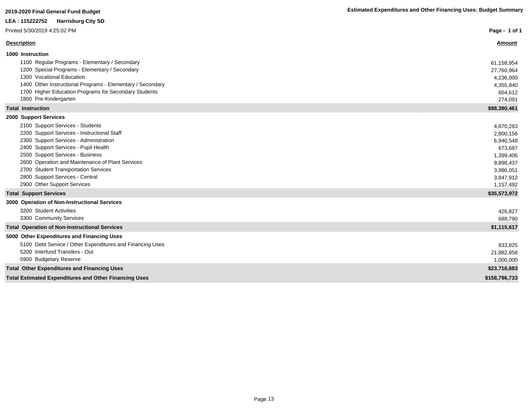| LEA : 115222752<br><b>Harrisburg City SD</b>                                                                                                                                                                                                                                                                                                                                                 |                                                                                                                 |
|----------------------------------------------------------------------------------------------------------------------------------------------------------------------------------------------------------------------------------------------------------------------------------------------------------------------------------------------------------------------------------------------|-----------------------------------------------------------------------------------------------------------------|
| Printed 5/30/2019 4:25:02 PM                                                                                                                                                                                                                                                                                                                                                                 | Page - 1 of 1                                                                                                   |
| <b>Description</b>                                                                                                                                                                                                                                                                                                                                                                           | Amount                                                                                                          |
| 1000 Instruction<br>1100 Regular Programs - Elementary / Secondary<br>1200 Special Programs - Elementary / Secondary                                                                                                                                                                                                                                                                         | 61,158,954<br>27,760,964                                                                                        |
| 1300 Vocational Education<br>1400 Other Instructional Programs - Elementary / Secondary<br>1700 Higher Education Programs for Secondary Students<br>1800 Pre-Kindergarten                                                                                                                                                                                                                    | 4,236,000<br>4,355,840<br>604,612<br>274,091                                                                    |
| <b>Total Instruction</b>                                                                                                                                                                                                                                                                                                                                                                     | \$98,390,461                                                                                                    |
| 2000 Support Services<br>2100 Support Services - Students<br>2200 Support Services - Instructional Staff<br>2300 Support Services - Administration<br>2400 Support Services - Pupil Health<br>2500 Support Services - Business<br>2600 Operation and Maintenance of Plant Services<br>2700 Student Transportation Services<br>2800 Support Services - Central<br>2900 Other Support Services | 4,870,283<br>2,800,156<br>6,940,548<br>673,687<br>1,399,406<br>9,898,437<br>3,986,051<br>3,847,912<br>1,157,492 |
| <b>Total Support Services</b>                                                                                                                                                                                                                                                                                                                                                                | \$35,573,972                                                                                                    |
| 3000 Operation of Non-Instructional Services<br>3200 Student Activities<br>3300 Community Services                                                                                                                                                                                                                                                                                           | 426,827<br>688,790                                                                                              |
| <b>Total Operation of Non-Instructional Services</b>                                                                                                                                                                                                                                                                                                                                         | \$1,115,617                                                                                                     |
| 5000 Other Expenditures and Financing Uses<br>5100 Debt Service / Other Expenditures and Financing Uses<br>5200 Interfund Transfers - Out<br>5900 Budgetary Reserve                                                                                                                                                                                                                          | 833,825<br>21,882,858<br>1,000,000                                                                              |
| <b>Total Other Expenditures and Financing Uses</b>                                                                                                                                                                                                                                                                                                                                           | \$23,716,683                                                                                                    |
| <b>Total Estimated Expenditures and Other Financing Uses</b>                                                                                                                                                                                                                                                                                                                                 | \$158,796,733                                                                                                   |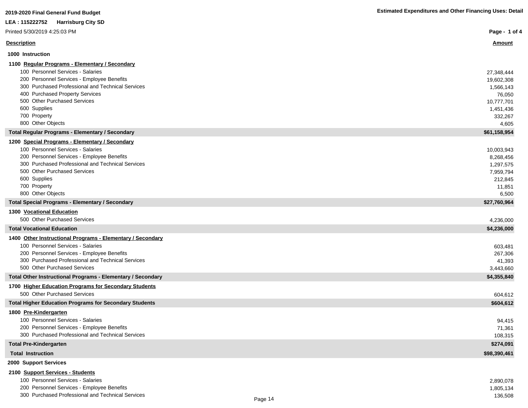| LEA: 115222752 Harrisburg City SD<br>Printed 5/30/2019 4:25:03 PM<br><b>Description</b><br><u>Amount</u><br>1000 Instruction<br>1100 Regular Programs - Elementary / Secondary<br>100 Personnel Services - Salaries<br>27,348,444<br>200 Personnel Services - Employee Benefits<br>19,602,308<br>300 Purchased Professional and Technical Services<br>1,566,143<br>400 Purchased Property Services<br>76,050<br>500 Other Purchased Services<br>10,777,701<br>600 Supplies<br>1,451,436<br>700 Property<br>332,267<br>800 Other Objects<br>4,605 |
|--------------------------------------------------------------------------------------------------------------------------------------------------------------------------------------------------------------------------------------------------------------------------------------------------------------------------------------------------------------------------------------------------------------------------------------------------------------------------------------------------------------------------------------------------|
| Page - 1 of 4                                                                                                                                                                                                                                                                                                                                                                                                                                                                                                                                    |
|                                                                                                                                                                                                                                                                                                                                                                                                                                                                                                                                                  |
|                                                                                                                                                                                                                                                                                                                                                                                                                                                                                                                                                  |
|                                                                                                                                                                                                                                                                                                                                                                                                                                                                                                                                                  |
|                                                                                                                                                                                                                                                                                                                                                                                                                                                                                                                                                  |
|                                                                                                                                                                                                                                                                                                                                                                                                                                                                                                                                                  |
|                                                                                                                                                                                                                                                                                                                                                                                                                                                                                                                                                  |
|                                                                                                                                                                                                                                                                                                                                                                                                                                                                                                                                                  |
|                                                                                                                                                                                                                                                                                                                                                                                                                                                                                                                                                  |
|                                                                                                                                                                                                                                                                                                                                                                                                                                                                                                                                                  |
|                                                                                                                                                                                                                                                                                                                                                                                                                                                                                                                                                  |
|                                                                                                                                                                                                                                                                                                                                                                                                                                                                                                                                                  |
|                                                                                                                                                                                                                                                                                                                                                                                                                                                                                                                                                  |
| <b>Total Regular Programs - Elementary / Secondary</b><br>\$61,158,954                                                                                                                                                                                                                                                                                                                                                                                                                                                                           |
| 1200 Special Programs - Elementary / Secondary<br>100 Personnel Services - Salaries                                                                                                                                                                                                                                                                                                                                                                                                                                                              |
| 10,003,943<br>200 Personnel Services - Employee Benefits                                                                                                                                                                                                                                                                                                                                                                                                                                                                                         |
| 8,268,456<br>300 Purchased Professional and Technical Services<br>1,297,575                                                                                                                                                                                                                                                                                                                                                                                                                                                                      |
| 500 Other Purchased Services<br>7,959,794                                                                                                                                                                                                                                                                                                                                                                                                                                                                                                        |
| 600 Supplies<br>212,845                                                                                                                                                                                                                                                                                                                                                                                                                                                                                                                          |
| 700 Property<br>11,851                                                                                                                                                                                                                                                                                                                                                                                                                                                                                                                           |
| 800 Other Objects<br>6,500                                                                                                                                                                                                                                                                                                                                                                                                                                                                                                                       |
| <b>Total Special Programs - Elementary / Secondary</b><br>\$27,760,964                                                                                                                                                                                                                                                                                                                                                                                                                                                                           |
| 1300 Vocational Education                                                                                                                                                                                                                                                                                                                                                                                                                                                                                                                        |
| 500 Other Purchased Services<br>4,236,000                                                                                                                                                                                                                                                                                                                                                                                                                                                                                                        |
| <b>Total Vocational Education</b><br>\$4,236,000                                                                                                                                                                                                                                                                                                                                                                                                                                                                                                 |
| 1400 Other Instructional Programs - Elementary / Secondary                                                                                                                                                                                                                                                                                                                                                                                                                                                                                       |
| 100 Personnel Services - Salaries<br>603,481                                                                                                                                                                                                                                                                                                                                                                                                                                                                                                     |
| 200 Personnel Services - Employee Benefits<br>267,306                                                                                                                                                                                                                                                                                                                                                                                                                                                                                            |
| 300 Purchased Professional and Technical Services<br>41,393                                                                                                                                                                                                                                                                                                                                                                                                                                                                                      |
| 500 Other Purchased Services<br>3,443,660                                                                                                                                                                                                                                                                                                                                                                                                                                                                                                        |
| \$4,355,840<br>Total Other Instructional Programs - Elementary / Secondary                                                                                                                                                                                                                                                                                                                                                                                                                                                                       |
| 1700 Higher Education Programs for Secondary Students                                                                                                                                                                                                                                                                                                                                                                                                                                                                                            |
| 500 Other Purchased Services<br>604,612                                                                                                                                                                                                                                                                                                                                                                                                                                                                                                          |
| \$604,612<br><b>Total Higher Education Programs for Secondary Students</b>                                                                                                                                                                                                                                                                                                                                                                                                                                                                       |
| 1800 Pre-Kindergarten                                                                                                                                                                                                                                                                                                                                                                                                                                                                                                                            |
| 100 Personnel Services - Salaries<br>94,415                                                                                                                                                                                                                                                                                                                                                                                                                                                                                                      |
| 200 Personnel Services - Employee Benefits<br>71,361<br>300 Purchased Professional and Technical Services                                                                                                                                                                                                                                                                                                                                                                                                                                        |
| 108,315<br>\$274,091<br><b>Total Pre-Kindergarten</b>                                                                                                                                                                                                                                                                                                                                                                                                                                                                                            |
| \$98,390,461<br><b>Total Instruction</b>                                                                                                                                                                                                                                                                                                                                                                                                                                                                                                         |
| 2000 Support Services                                                                                                                                                                                                                                                                                                                                                                                                                                                                                                                            |
| 2100 Support Services - Students                                                                                                                                                                                                                                                                                                                                                                                                                                                                                                                 |

| 100 Personnel Services - Salaries                 |         | 2,890,078 |
|---------------------------------------------------|---------|-----------|
| 200 Personnel Services - Employee Benefits        |         | 1,805,134 |
| 300 Purchased Professional and Technical Services | Page 14 | 136.508   |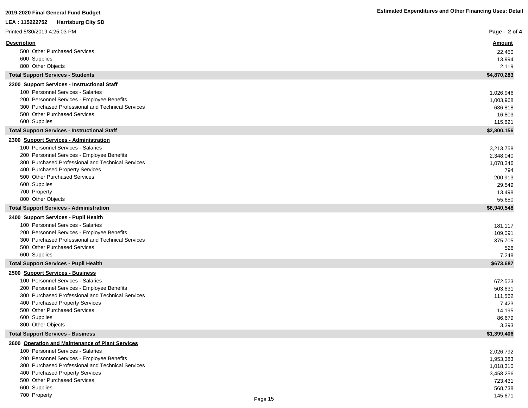| <b>Estimated Expenditures and Other Financing Uses: Detail</b> |  |  |  |  |  |  |
|----------------------------------------------------------------|--|--|--|--|--|--|
|----------------------------------------------------------------|--|--|--|--|--|--|

| 2019-2020 Final General Fund Budget                                                             | <b>Estimated Expenditures and Other Financing Uses: Detail</b> |
|-------------------------------------------------------------------------------------------------|----------------------------------------------------------------|
| LEA : 115222752<br><b>Harrisburg City SD</b>                                                    |                                                                |
| Printed 5/30/2019 4:25:03 PM                                                                    | Page - 2 of 4                                                  |
| <b>Description</b>                                                                              | Amount                                                         |
| 500 Other Purchased Services                                                                    | 22,450                                                         |
| 600 Supplies                                                                                    | 13,994                                                         |
| 800 Other Objects                                                                               | 2,119                                                          |
| <b>Total Support Services - Students</b>                                                        | \$4,870,283                                                    |
| 2200 Support Services - Instructional Staff                                                     |                                                                |
| 100 Personnel Services - Salaries                                                               | 1,026,946                                                      |
| 200 Personnel Services - Employee Benefits                                                      | 1,003,968                                                      |
| 300 Purchased Professional and Technical Services                                               | 636,818                                                        |
| 500 Other Purchased Services                                                                    | 16,803                                                         |
| 600 Supplies                                                                                    | 115,621                                                        |
| <b>Total Support Services - Instructional Staff</b>                                             | \$2,800,156                                                    |
| 2300 Support Services - Administration                                                          |                                                                |
| 100 Personnel Services - Salaries                                                               | 3,213,758                                                      |
| 200 Personnel Services - Employee Benefits                                                      | 2,348,040                                                      |
| 300 Purchased Professional and Technical Services                                               | 1,078,346                                                      |
| 400 Purchased Property Services                                                                 | 794                                                            |
| 500 Other Purchased Services                                                                    | 200,913                                                        |
| 600 Supplies                                                                                    | 29,549                                                         |
| 700 Property                                                                                    | 13,498                                                         |
| 800 Other Objects                                                                               | 55,650                                                         |
| <b>Total Support Services - Administration</b>                                                  | \$6,940,548                                                    |
| 2400 Support Services - Pupil Health                                                            |                                                                |
| 100 Personnel Services - Salaries                                                               | 181,117                                                        |
| 200 Personnel Services - Employee Benefits                                                      | 109,091                                                        |
| 300 Purchased Professional and Technical Services                                               | 375,705                                                        |
| 500 Other Purchased Services                                                                    | 526                                                            |
| 600 Supplies                                                                                    | 7,248                                                          |
| <b>Total Support Services - Pupil Health</b>                                                    | \$673,687                                                      |
| 2500 Support Services - Business                                                                |                                                                |
| 100 Personnel Services - Salaries                                                               | 672,523                                                        |
| 200 Personnel Services - Employee Benefits<br>300 Purchased Professional and Technical Services | 503,631                                                        |
|                                                                                                 | 111,562                                                        |
| 400 Purchased Property Services<br>500 Other Purchased Services                                 | 7,423                                                          |
| 600 Supplies                                                                                    | 14,195                                                         |
| 800 Other Objects                                                                               | 86,679<br>3,393                                                |
| <b>Total Support Services - Business</b>                                                        | \$1,399,406                                                    |
| 2600 Operation and Maintenance of Plant Services                                                |                                                                |
| 100 Personnel Services - Salaries                                                               | 2,026,792                                                      |
| 200 Personnel Services - Employee Benefits                                                      | 1,953,383                                                      |
| 300 Purchased Professional and Technical Services                                               | 1,018,310                                                      |
| 400 Purchased Property Services                                                                 | 3,458,256                                                      |
| 500 Other Purchased Services                                                                    | 723,431                                                        |

700 Property 145,671 Page 15

600 Supplies 568,738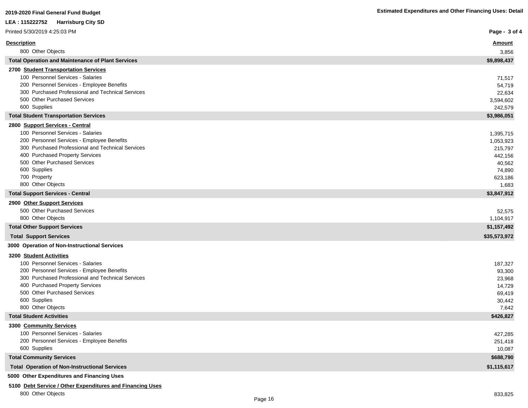| LEA: 115222752 Harrisburg City SD                                                               |                  |
|-------------------------------------------------------------------------------------------------|------------------|
| Printed 5/30/2019 4:25:03 PM                                                                    | Page - 3 of 4    |
| <b>Description</b>                                                                              | <u>Amount</u>    |
| 800 Other Objects                                                                               | 3,856            |
| <b>Total Operation and Maintenance of Plant Services</b>                                        | \$9,898,437      |
| 2700 Student Transportation Services                                                            |                  |
| 100 Personnel Services - Salaries                                                               | 71,517           |
| 200 Personnel Services - Employee Benefits                                                      | 54,719           |
| 300 Purchased Professional and Technical Services                                               | 22,634           |
| 500 Other Purchased Services<br>600 Supplies                                                    | 3,594,602        |
| <b>Total Student Transportation Services</b>                                                    | 242,579          |
|                                                                                                 | \$3,986,051      |
| 2800 Support Services - Central<br>100 Personnel Services - Salaries                            | 1,395,715        |
| 200 Personnel Services - Employee Benefits                                                      | 1,053,923        |
| 300 Purchased Professional and Technical Services                                               | 215,797          |
| 400 Purchased Property Services                                                                 | 442,156          |
| 500 Other Purchased Services                                                                    | 40,562           |
| 600 Supplies                                                                                    | 74,890           |
| 700 Property                                                                                    | 623,186          |
| 800 Other Objects                                                                               | 1,683            |
| <b>Total Support Services - Central</b>                                                         | \$3,847,912      |
| 2900 Other Support Services                                                                     |                  |
| 500 Other Purchased Services                                                                    | 52,575           |
| 800 Other Objects                                                                               | 1,104,917        |
| <b>Total Other Support Services</b>                                                             | \$1,157,492      |
| <b>Total Support Services</b>                                                                   | \$35,573,972     |
| 3000 Operation of Non-Instructional Services                                                    |                  |
| 3200 Student Activities                                                                         |                  |
| 100 Personnel Services - Salaries                                                               | 187,327          |
| 200 Personnel Services - Employee Benefits<br>300 Purchased Professional and Technical Services | 93,300           |
| 400 Purchased Property Services                                                                 | 23,968<br>14,729 |
| 500 Other Purchased Services                                                                    | 69,419           |
| 600 Supplies                                                                                    | 30,442           |
| 800 Other Objects                                                                               | 7,642            |
| <b>Total Student Activities</b>                                                                 | \$426,827        |
| 3300 Community Services                                                                         |                  |
| 100 Personnel Services - Salaries                                                               | 427,285          |
| 200 Personnel Services - Employee Benefits                                                      | 251,418          |
| 600 Supplies                                                                                    | 10,087           |
| <b>Total Community Services</b>                                                                 | \$688,790        |
| <b>Total Operation of Non-Instructional Services</b>                                            | \$1,115,617      |

# **5000 Other Expenditures and Financing Uses**

# **5100 Debt Service / Other Expenditures and Financing Uses**

800 Other Objects 833,825

ľ

×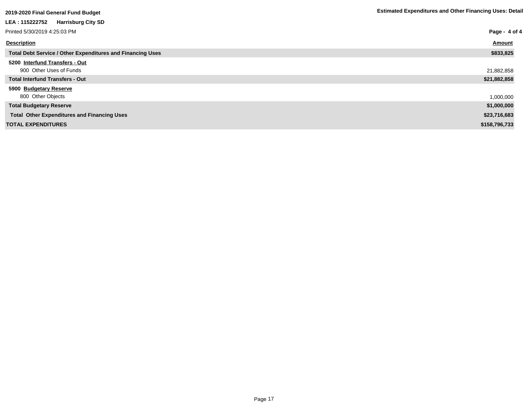| <u>zo i J-zozo i mar Ocherar i unu Duuget</u>                     |               |
|-------------------------------------------------------------------|---------------|
| LEA: 115222752 Harrisburg City SD                                 |               |
| Printed 5/30/2019 4:25:03 PM                                      | Page - 4 of 4 |
| <b>Description</b>                                                | <b>Amount</b> |
| <b>Total Debt Service / Other Expenditures and Financing Uses</b> | \$833,825     |
| 5200 Interfund Transfers - Out<br>900 Other Uses of Funds         | 21,882,858    |
| <b>Total Interfund Transfers - Out</b>                            | \$21,882,858  |
| 5900 Budgetary Reserve<br>800 Other Objects                       | 1,000,000     |
| <b>Total Budgetary Reserve</b>                                    | \$1,000,000   |
| <b>Total Other Expenditures and Financing Uses</b>                | \$23,716,683  |
| <b>TOTAL EXPENDITURES</b>                                         | \$158,796,733 |
|                                                                   |               |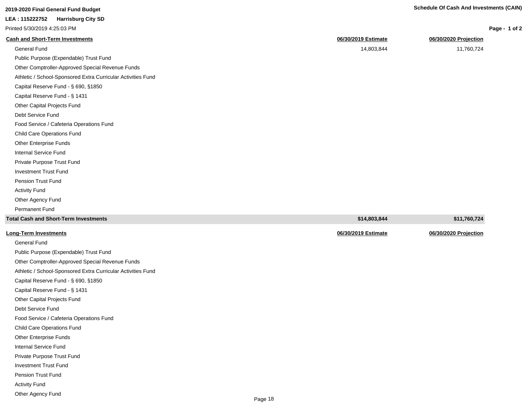| 2019-2020 Final General Fund Budget | <b>Schedule Of Cash And Investments (CAIN)</b> |
|-------------------------------------|------------------------------------------------|
|                                     |                                                |

|                              | $2010$ 2020 : $1101$ 001101 01 : 0110 20090; |
|------------------------------|----------------------------------------------|
| LEA: 115222752               | <b>Harrisburg City SD</b>                    |
| Printed 5/30/2019 4:25:03 PM |                                              |

| Page - 1 of 2 |  |  |  |
|---------------|--|--|--|
|---------------|--|--|--|

| <b>Cash and Short-Term Investments</b>                       | 06/30/2019 Estimate | 06/30/2020 Projection |
|--------------------------------------------------------------|---------------------|-----------------------|
| General Fund                                                 | 14,803,844          | 11,760,724            |
| Public Purpose (Expendable) Trust Fund                       |                     |                       |
| Other Comptroller-Approved Special Revenue Funds             |                     |                       |
| Athletic / School-Sponsored Extra Curricular Activities Fund |                     |                       |
| Capital Reserve Fund - § 690, §1850                          |                     |                       |
| Capital Reserve Fund - § 1431                                |                     |                       |
| Other Capital Projects Fund                                  |                     |                       |
| Debt Service Fund                                            |                     |                       |
| Food Service / Cafeteria Operations Fund                     |                     |                       |
| Child Care Operations Fund                                   |                     |                       |
| Other Enterprise Funds                                       |                     |                       |
| <b>Internal Service Fund</b>                                 |                     |                       |
| Private Purpose Trust Fund                                   |                     |                       |
| <b>Investment Trust Fund</b>                                 |                     |                       |
| Pension Trust Fund                                           |                     |                       |
| <b>Activity Fund</b>                                         |                     |                       |
| Other Agency Fund                                            |                     |                       |
| Permanent Fund                                               |                     |                       |
| <b>Total Cash and Short-Term Investments</b>                 | \$14,803,844        | \$11,760,724          |
| Long-Term Investments                                        | 06/30/2019 Estimate | 06/30/2020 Projection |

| <b>Long-Term Investments</b> |
|------------------------------|
|                              |

General Fund Public Purpose (Expendable) Trust Fund Other Comptroller-Approved Special Revenue Funds Athletic / School-Sponsored Extra Curricular Activities Fund Capital Reserve Fund - § 690, §1850 Capital Reserve Fund - § 1431 Other Capital Projects Fund Debt Service Fund Food Service / Cafeteria Operations Fund Child Care Operations Fund Other Enterprise Funds Internal Service Fund Private Purpose Trust Fund Investment Trust Fund Pension Trust Fund Activity Fund Other Agency Fund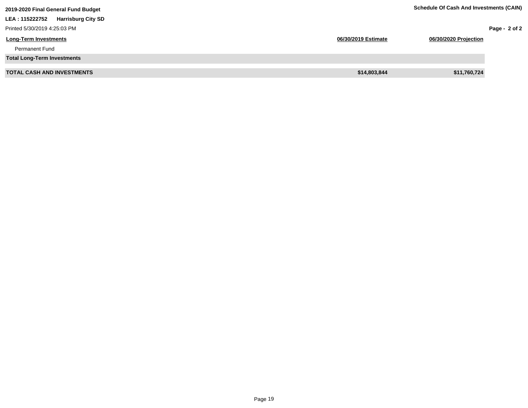| 2019-2020 Final General Fund Budget          |                     | <b>Schedule Of Cash And Investments (CAIN)</b> |               |
|----------------------------------------------|---------------------|------------------------------------------------|---------------|
| <b>Harrisburg City SD</b><br>LEA : 115222752 |                     |                                                |               |
| Printed 5/30/2019 4:25:03 PM                 |                     |                                                | Page - 2 of 2 |
| <b>Long-Term Investments</b>                 | 06/30/2019 Estimate | 06/30/2020 Projection                          |               |
| <b>Permanent Fund</b>                        |                     |                                                |               |
| <b>Total Long-Term Investments</b>           |                     |                                                |               |
| <b>TOTAL CASH AND INVESTMENTS</b>            | \$14,803,844        | \$11,760,724                                   |               |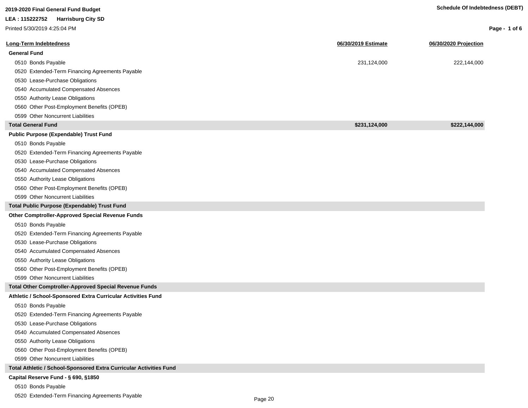| 2019-2020 Final General Fund Budget                                |                     | <b>Schedule Of Indebtedness (DEBT)</b> |               |
|--------------------------------------------------------------------|---------------------|----------------------------------------|---------------|
| LEA : 115222752<br><b>Harrisburg City SD</b>                       |                     |                                        |               |
| Printed 5/30/2019 4:25:04 PM                                       |                     |                                        | Page - 1 of 6 |
|                                                                    |                     |                                        |               |
| <b>Long-Term Indebtedness</b>                                      | 06/30/2019 Estimate | 06/30/2020 Projection                  |               |
| <b>General Fund</b>                                                |                     |                                        |               |
| 0510 Bonds Payable                                                 | 231,124,000         | 222,144,000                            |               |
| 0520 Extended-Term Financing Agreements Payable                    |                     |                                        |               |
| 0530 Lease-Purchase Obligations                                    |                     |                                        |               |
| 0540 Accumulated Compensated Absences                              |                     |                                        |               |
| 0550 Authority Lease Obligations                                   |                     |                                        |               |
| 0560 Other Post-Employment Benefits (OPEB)                         |                     |                                        |               |
| 0599 Other Noncurrent Liabilities                                  |                     |                                        |               |
| <b>Total General Fund</b>                                          | \$231,124,000       | \$222,144,000                          |               |
| <b>Public Purpose (Expendable) Trust Fund</b>                      |                     |                                        |               |
| 0510 Bonds Payable                                                 |                     |                                        |               |
| 0520 Extended-Term Financing Agreements Payable                    |                     |                                        |               |
| 0530 Lease-Purchase Obligations                                    |                     |                                        |               |
| 0540 Accumulated Compensated Absences                              |                     |                                        |               |
| 0550 Authority Lease Obligations                                   |                     |                                        |               |
| 0560 Other Post-Employment Benefits (OPEB)                         |                     |                                        |               |
| 0599 Other Noncurrent Liabilities                                  |                     |                                        |               |
| Total Public Purpose (Expendable) Trust Fund                       |                     |                                        |               |
| Other Comptroller-Approved Special Revenue Funds                   |                     |                                        |               |
| 0510 Bonds Payable                                                 |                     |                                        |               |
| 0520 Extended-Term Financing Agreements Payable                    |                     |                                        |               |
| 0530 Lease-Purchase Obligations                                    |                     |                                        |               |
| 0540 Accumulated Compensated Absences                              |                     |                                        |               |
| 0550 Authority Lease Obligations                                   |                     |                                        |               |
| 0560 Other Post-Employment Benefits (OPEB)                         |                     |                                        |               |
| 0599 Other Noncurrent Liabilities                                  |                     |                                        |               |
| Total Other Comptroller-Approved Special Revenue Funds             |                     |                                        |               |
| Athletic / School-Sponsored Extra Curricular Activities Fund       |                     |                                        |               |
| 0510 Bonds Payable                                                 |                     |                                        |               |
| 0520 Extended-Term Financing Agreements Payable                    |                     |                                        |               |
| 0530 Lease-Purchase Obligations                                    |                     |                                        |               |
| 0540 Accumulated Compensated Absences                              |                     |                                        |               |
| 0550 Authority Lease Obligations                                   |                     |                                        |               |
| 0560 Other Post-Employment Benefits (OPEB)                         |                     |                                        |               |
| 0599 Other Noncurrent Liabilities                                  |                     |                                        |               |
| Total Athletic / School-Sponsored Extra Curricular Activities Fund |                     |                                        |               |
| Capital Reserve Fund - § 690, §1850                                |                     |                                        |               |
| 0510 Bonds Payable                                                 |                     |                                        |               |

0520 Extended-Term Financing Agreements Payable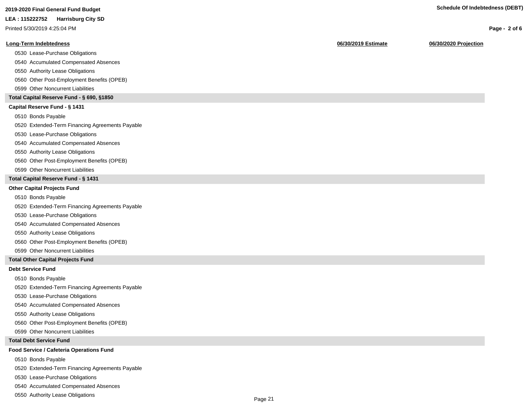| 2019-2020 Final General Fund Budget |
|-------------------------------------|
|                                     |

**LEA : 115222752 Harrisburg City SD**

Printed 5/30/2019 4:25:04 PM

## **Long-Term Indebtedness 06/30/2019 Estimate 06/30/2020 Projection**

0530 Lease-Purchase Obligations

0540 Accumulated Compensated Absences

0550 Authority Lease Obligations

0560 Other Post-Employment Benefits (OPEB)

0599 Other Noncurrent Liabilities

# **Total Capital Reserve Fund - § 690, §1850**

## **Capital Reserve Fund - § 1431**

0510 Bonds Payable

0520 Extended-Term Financing Agreements Payable

0530 Lease-Purchase Obligations

0540 Accumulated Compensated Absences

0550 Authority Lease Obligations

0560 Other Post-Employment Benefits (OPEB)

0599 Other Noncurrent Liabilities

# **Total Capital Reserve Fund - § 1431**

## **Other Capital Projects Fund**

0510 Bonds Payable

0520 Extended-Term Financing Agreements Payable

0530 Lease-Purchase Obligations

0540 Accumulated Compensated Absences

0550 Authority Lease Obligations

0560 Other Post-Employment Benefits (OPEB)

0599 Other Noncurrent Liabilities

# **Total Other Capital Projects Fund**

# **Debt Service Fund**

0510 Bonds Payable

0520 Extended-Term Financing Agreements Payable

0530 Lease-Purchase Obligations

0540 Accumulated Compensated Absences

0550 Authority Lease Obligations

0560 Other Post-Employment Benefits (OPEB)

0599 Other Noncurrent Liabilities

# **Total Debt Service Fund**

# **Food Service / Cafeteria Operations Fund**

0510 Bonds Payable

0520 Extended-Term Financing Agreements Payable

0530 Lease-Purchase Obligations

0540 Accumulated Compensated Absences

0550 Authority Lease Obligations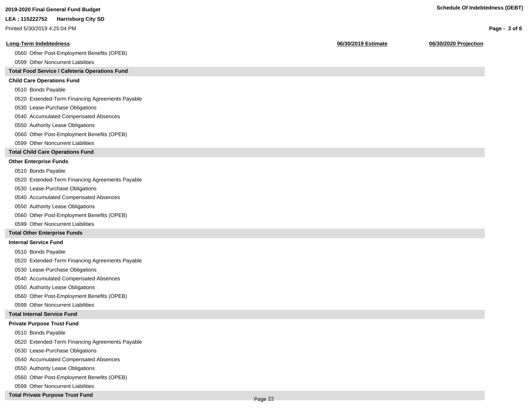**Page - 3 of 6**

#### **LEA : 115222752 Harrisburg City SD**

Printed 5/30/2019 4:25:04 PM

## **Long-Term Indebtedness 06/30/2019 Estimate 06/30/2020 Projection**

0560 Other Post-Employment Benefits (OPEB)

0599 Other Noncurrent Liabilities

# **Total Food Service / Cafeteria Operations Fund**

# **Child Care Operations Fund**

0510 Bonds Payable

0520 Extended-Term Financing Agreements Payable

- 0530 Lease-Purchase Obligations
- 0540 Accumulated Compensated Absences
- 0550 Authority Lease Obligations
- 0560 Other Post-Employment Benefits (OPEB)
- 0599 Other Noncurrent Liabilities

# **Total Child Care Operations Fund**

# **Other Enterprise Funds**

- 0510 Bonds Payable
- 0520 Extended-Term Financing Agreements Payable
- 0530 Lease-Purchase Obligations
- 0540 Accumulated Compensated Absences
- 0550 Authority Lease Obligations
- 0560 Other Post-Employment Benefits (OPEB)
- 0599 Other Noncurrent Liabilities

# **Total Other Enterprise Funds**

## **Internal Service Fund**

- 0510 Bonds Payable
- 0520 Extended-Term Financing Agreements Payable
- 0530 Lease-Purchase Obligations
- 0540 Accumulated Compensated Absences
- 0550 Authority Lease Obligations
- 0560 Other Post-Employment Benefits (OPEB)
- 0599 Other Noncurrent Liabilities

## **Total Internal Service Fund**

#### **Private Purpose Trust Fund**

- 0510 Bonds Payable
- 0520 Extended-Term Financing Agreements Payable
- 0530 Lease-Purchase Obligations
- 0540 Accumulated Compensated Absences
- 0550 Authority Lease Obligations
- 0560 Other Post-Employment Benefits (OPEB)
- 0599 Other Noncurrent Liabilities
- **Total Private Purpose Trust Fund**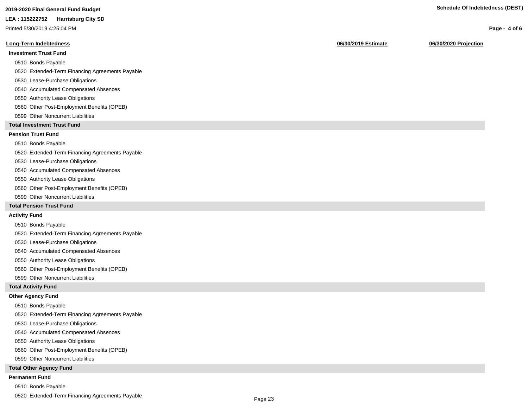# **2019-2020 Final General Fund Budget Schedule Of Indebtedness (DEBT)**

#### **LEA : 115222752 Harrisburg City SD**

Printed 5/30/2019 4:25:04 PM

#### **Long-Term Indebtedness 06/30/2019 Estimate 06/30/2020 Projection**

# **Investment Trust Fund**

- 0510 Bonds Payable
- 0520 Extended-Term Financing Agreements Payable
- 0530 Lease-Purchase Obligations
- 0540 Accumulated Compensated Absences
- 0550 Authority Lease Obligations
- 0560 Other Post-Employment Benefits (OPEB)
- 0599 Other Noncurrent Liabilities

# **Total Investment Trust Fund**

# **Pension Trust Fund**

## 0510 Bonds Payable

- 0520 Extended-Term Financing Agreements Payable
- 0530 Lease-Purchase Obligations
- 0540 Accumulated Compensated Absences
- 0550 Authority Lease Obligations
- 0560 Other Post-Employment Benefits (OPEB)
- 0599 Other Noncurrent Liabilities

# **Total Pension Trust Fund**

#### **Activity Fund**

- 0510 Bonds Payable
- 0520 Extended-Term Financing Agreements Payable
- 0530 Lease-Purchase Obligations
- 0540 Accumulated Compensated Absences
- 0550 Authority Lease Obligations
- 0560 Other Post-Employment Benefits (OPEB)
- 0599 Other Noncurrent Liabilities

# **Total Activity Fund**

## **Other Agency Fund**

- 0510 Bonds Payable
- 0520 Extended-Term Financing Agreements Payable
- 0530 Lease-Purchase Obligations
- 0540 Accumulated Compensated Absences
- 0550 Authority Lease Obligations
- 0560 Other Post-Employment Benefits (OPEB)
- 0599 Other Noncurrent Liabilities

#### **Total Other Agency Fund**

#### **Permanent Fund**

- 0510 Bonds Payable
- 0520 Extended-Term Financing Agreements Payable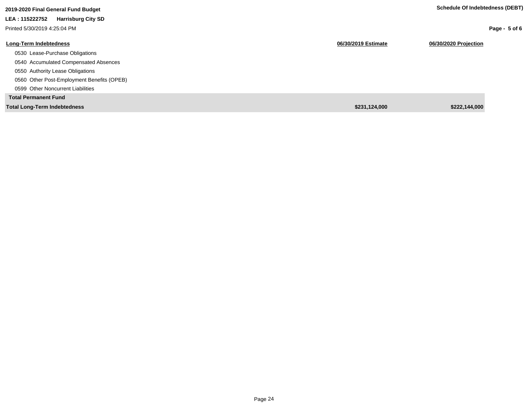| 2019-2020 Final General Fund Budget         |                     | Schedule Of Indebtedness (DEBT) |
|---------------------------------------------|---------------------|---------------------------------|
| LEA: 115222752<br><b>Harrisburg City SD</b> |                     |                                 |
| Printed 5/30/2019 4:25:04 PM                |                     | Page - $5$ of 6                 |
| Long-Term Indebtedness                      | 06/30/2019 Estimate | 06/30/2020 Projection           |
| 0530 Lease-Purchase Obligations             |                     |                                 |
| 0540 Accumulated Compensated Absences       |                     |                                 |
| 0550 Authority Lease Obligations            |                     |                                 |
| 0560 Other Post-Employment Benefits (OPEB)  |                     |                                 |
| 0599 Other Noncurrent Liabilities           |                     |                                 |
| <b>Total Permanent Fund</b>                 |                     |                                 |
| <b>Total Long-Term Indebtedness</b>         | \$231,124,000       | \$222.144.000                   |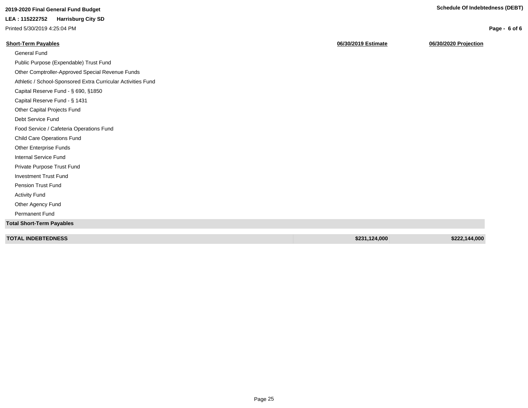**Page - 6 of 6**

# **2019-2020 Final General Fund Budget Schedule Of Indebtedness (DEBT)**

# **LEA : 115222752 Harrisburg City SD**

Printed 5/30/2019 4:25:04 PM

# **Short-Term Payables 06/30/2019 Estimate 06/30/2020 Projection**

| <b>General Fund</b>                                          |               |               |
|--------------------------------------------------------------|---------------|---------------|
| Public Purpose (Expendable) Trust Fund                       |               |               |
| Other Comptroller-Approved Special Revenue Funds             |               |               |
| Athletic / School-Sponsored Extra Curricular Activities Fund |               |               |
| Capital Reserve Fund - § 690, §1850                          |               |               |
| Capital Reserve Fund - § 1431                                |               |               |
| Other Capital Projects Fund                                  |               |               |
| Debt Service Fund                                            |               |               |
| Food Service / Cafeteria Operations Fund                     |               |               |
| <b>Child Care Operations Fund</b>                            |               |               |
| Other Enterprise Funds                                       |               |               |
| Internal Service Fund                                        |               |               |
| Private Purpose Trust Fund                                   |               |               |
| <b>Investment Trust Fund</b>                                 |               |               |
| Pension Trust Fund                                           |               |               |
| <b>Activity Fund</b>                                         |               |               |
| Other Agency Fund                                            |               |               |
| Permanent Fund                                               |               |               |
| <b>Total Short-Term Payables</b>                             |               |               |
|                                                              |               |               |
| <b>TOTAL INDEBTEDNESS</b>                                    | \$231,124,000 | \$222,144,000 |